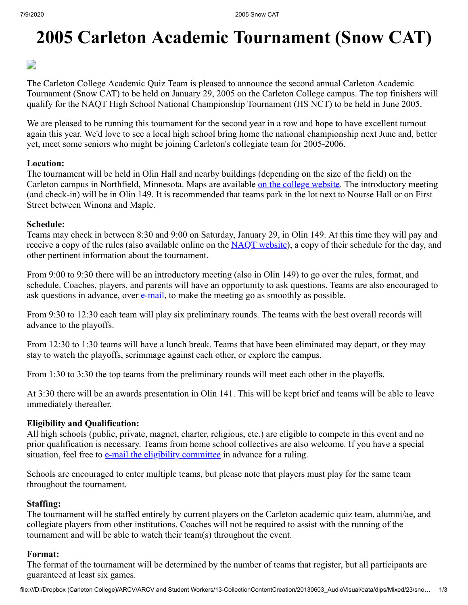# **2005 Carleton Academic Tournament (Snow CAT)**

 $\Box$ 

The Carleton College Academic Quiz Team is pleased to announce the second annual Carleton Academic Tournament (Snow CAT) to be held on January 29, 2005 on the Carleton College campus. The top finishers will qualify for the NAQT High School National Championship Tournament (HS NCT) to be held in June 2005.

We are pleased to be running this tournament for the second year in a row and hope to have excellent turnout again this year. We'd love to see a local high school bring home the national championship next June and, better yet, meet some seniors who might be joining Carleton's collegiate team for 2005-2006.

#### **Location:**

The tournament will be held in Olin Hall and nearby buildings (depending on the size of the field) on the Carleton campus in Northfield, Minnesota. Maps are available [on the college website](http://webapps.acs.carleton.edu/global_stock/photostock/44573.gif). The introductory meeting (and check-in) will be in Olin 149. It is recommended that teams park in the lot next to Nourse Hall or on First Street between Winona and Maple.

#### **Schedule:**

Teams may check in between 8:30 and 9:00 on Saturday, January 29, in Olin 149. At this time they will pay and receive a copy of the rules (also available online on the [NAQT website\)](http://www.naqt.com/rules.html), a copy of their schedule for the day, and other pertinent information about the tournament.

From 9:00 to 9:30 there will be an introductory meeting (also in Olin 149) to go over the rules, format, and schedule. Coaches, players, and parents will have an opportunity to ask questions. Teams are also encouraged to ask questions in advance, over  $e$ -mail, to make the meeting go as smoothly as possible.

From 9:30 to 12:30 each team will play six preliminary rounds. The teams with the best overall records will advance to the playoffs.

From 12:30 to 1:30 teams will have a lunch break. Teams that have been eliminated may depart, or they may stay to watch the playoffs, scrimmage against each other, or explore the campus.

From 1:30 to 3:30 the top teams from the preliminary rounds will meet each other in the playoffs.

At 3:30 there will be an awards presentation in Olin 141. This will be kept brief and teams will be able to leave immediately thereafter.

#### **Eligibility and Qualification:**

All high schools (public, private, magnet, charter, religious, etc.) are eligible to compete in this event and no prior qualification is necessary. Teams from home school collectives are also welcome. If you have a special situation, feel free to [e-mail the eligibility committee](mailto:eligibility@naqt.com) in advance for a ruling.

Schools are encouraged to enter multiple teams, but please note that players must play for the same team throughout the tournament.

#### **Staffing:**

The tournament will be staffed entirely by current players on the Carleton academic quiz team, alumni/ae, and collegiate players from other institutions. Coaches will not be required to assist with the running of the tournament and will be able to watch their team(s) throughout the event.

#### **Format:**

The format of the tournament will be determined by the number of teams that register, but all participants are guaranteed at least six games.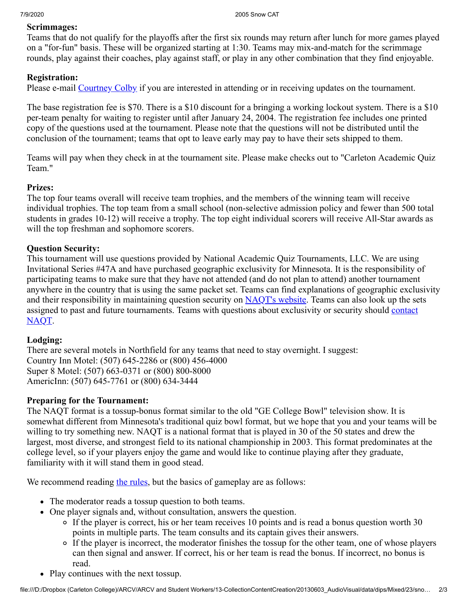#### **Scrimmages:**

Teams that do not qualify for the playoffs after the first six rounds may return after lunch for more games played on a "for-fun" basis. These will be organized starting at 1:30. Teams may mix-and-match for the scrimmage rounds, play against their coaches, play against staff, or play in any other combination that they find enjoyable.

#### **Registration:**

Please e-mail [Courtney Colby](mailto:theartsflourished@yahoo.com) if you are interested in attending or in receiving updates on the tournament.

The base registration fee is \$70. There is a \$10 discount for a bringing a working lockout system. There is a \$10 per-team penalty for waiting to register until after January 24, 2004. The registration fee includes one printed copy of the questions used at the tournament. Please note that the questions will not be distributed until the conclusion of the tournament; teams that opt to leave early may pay to have their sets shipped to them.

Teams will pay when they check in at the tournament site. Please make checks out to "Carleton Academic Quiz Team."

#### **Prizes:**

The top four teams overall will receive team trophies, and the members of the winning team will receive individual trophies. The top team from a small school (non-selective admission policy and fewer than 500 total students in grades 10-12) will receive a trophy. The top eight individual scorers will receive All-Star awards as will the top freshman and sophomore scorers.

## **Question Security:**

This tournament will use questions provided by National Academic Quiz Tournaments, LLC. We are using Invitational Series #47A and have purchased geographic exclusivity for Minnesota. It is the responsibility of participating teams to make sure that they have not attended (and do not plan to attend) another tournament anywhere in the country that is using the same packet set. Teams can find explanations of geographic exclusivity and their responsibility in maintaining question security on [NAQT's website.](http://www.naqt.com/hs/geographic-exclusivity.html) Teams can also look up the sets [assigned to past and future tournaments. Teams with questions about exclusivity or security should contact](mailto:naqt@naqt.com) NAQT.

## **Lodging:**

There are several motels in Northfield for any teams that need to stay overnight. I suggest: Country Inn Motel: (507) 645-2286 or (800) 456-4000 Super 8 Motel: (507) 663-0371 or (800) 800-8000 AmericInn: (507) 645-7761 or (800) 634-3444

## **Preparing for the Tournament:**

The NAQT format is a tossup-bonus format similar to the old "GE College Bowl" television show. It is somewhat different from Minnesota's traditional quiz bowl format, but we hope that you and your teams will be willing to try something new. NAQT is a national format that is played in 30 of the 50 states and drew the largest, most diverse, and strongest field to its national championship in 2003. This format predominates at the college level, so if your players enjoy the game and would like to continue playing after they graduate, familiarity with it will stand them in good stead.

We recommend reading [the rules](http://www.naqt.com/rules.html), but the basics of gameplay are as follows:

- The moderator reads a tossup question to both teams.
- One player signals and, without consultation, answers the question.
	- If the player is correct, his or her team receives 10 points and is read a bonus question worth 30 points in multiple parts. The team consults and its captain gives their answers.
	- If the player is incorrect, the moderator finishes the tossup for the other team, one of whose players can then signal and answer. If correct, his or her team is read the bonus. If incorrect, no bonus is read.
- Play continues with the next tossup.